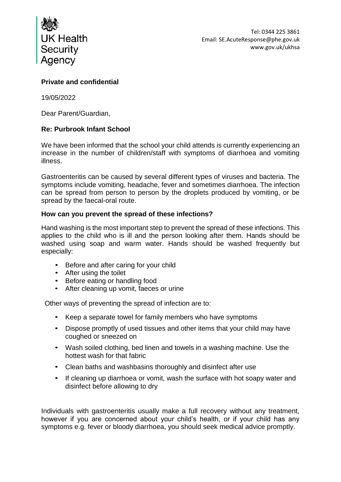

## **Private and confidential**

19/05/2022

Dear Parent/Guardian,

## **Re: Purbrook Infant School**

We have been informed that the school your child attends is currently experiencing an increase in the number of children/staff with symptoms of diarrhoea and vomiting illness.

Gastroenteritis can be caused by several different types of viruses and bacteria. The symptoms include vomiting, headache, fever and sometimes diarrhoea. The infection can be spread from person to person by the droplets produced by vomiting, or be spread by the faecal-oral route.

## **How can you prevent the spread of these infections?**

Hand washing is the most important step to prevent the spread of these infections. This applies to the child who is ill and the person looking after them. Hands should be washed using soap and warm water. Hands should be washed frequently but especially:

- Before and after caring for your child
- After using the toilet
- Before eating or handling food
- After cleaning up vomit, faeces or urine

Other ways of preventing the spread of infection are to:

- Keep a separate towel for family members who have symptoms
- Dispose promptly of used tissues and other items that your child may have coughed or sneezed on
- Wash soiled clothing, bed linen and towels in a washing machine. Use the hottest wash for that fabric
- Clean baths and washbasins thoroughly and disinfect after use
- If cleaning up diarrhoea or vomit, wash the surface with hot soapy water and disinfect before allowing to dry

Individuals with gastroenteritis usually make a full recovery without any treatment, however if you are concerned about your child's health, or if your child has any symptoms e.g. fever or bloody diarrhoea, you should seek medical advice promptly.